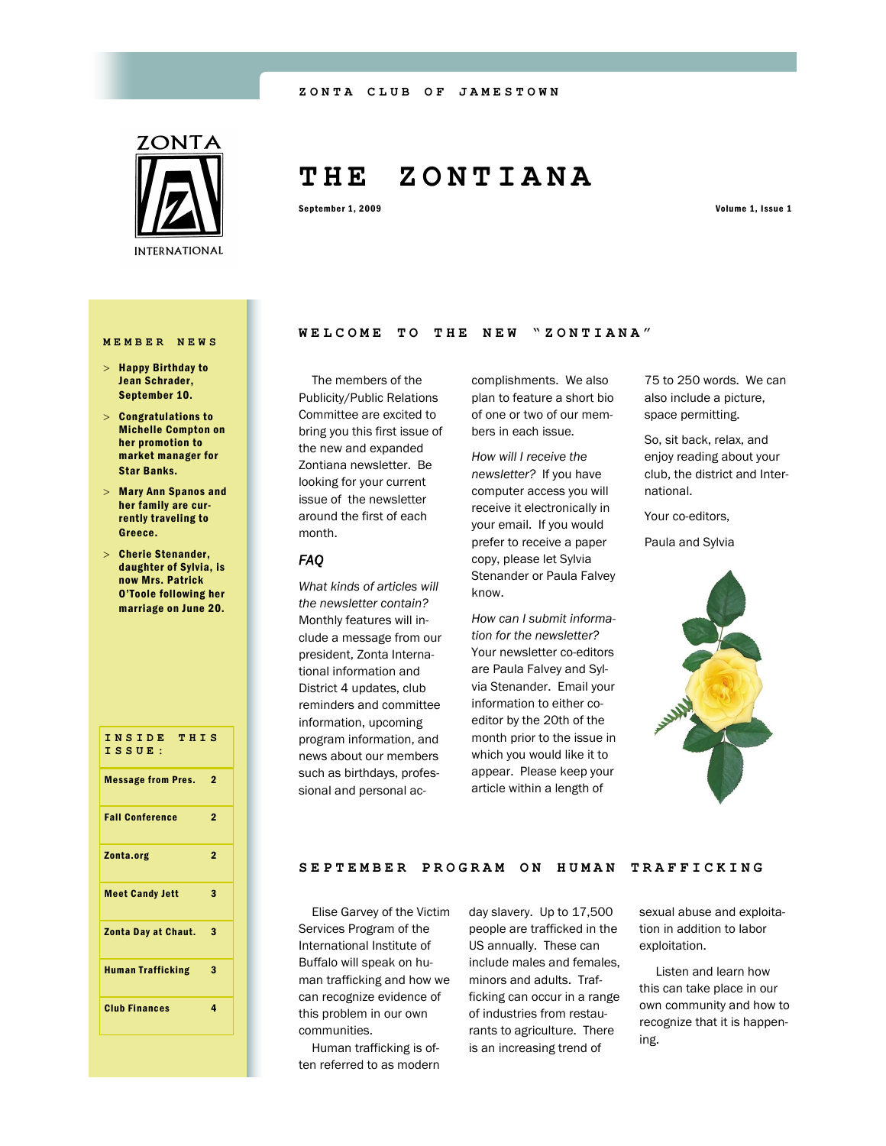#### **ZONTA CLUB OF JAMEST OWN**



# **T H E Z O N T I A N A**

September 1, 2009 Volume 1, Issue 1

#### **MEMBER NEWS**

- $>$  Happy Birthday to Jean Schrader, September 10.
- $>$  Congratulations to Michelle Compton on her promotion to market manager for Star Banks.
- Mary Ann Spanos and her family are currently traveling to Greece.
- Cherie Stenander, daughter of Sylvia, is now Mrs. Patrick O'Toole following her marriage on June 20.

| INSIDE THIS<br>ISSUE:      |                |
|----------------------------|----------------|
| <b>Message from Pres.</b>  | $\overline{2}$ |
| <b>Fall Conference</b>     | $\overline{2}$ |
| Zonta.org                  | $\overline{2}$ |
| <b>Meet Candy Jett</b>     | 3              |
| <b>Zonta Day at Chaut.</b> | 3              |
| <b>Human Trafficking</b>   | 3              |
| <b>Club Finances</b>       | 4              |
|                            |                |

# **WELCOME TO THE NEW "ZONTIANA"**

 The members of the Publicity/Public Relations Committee are excited to bring you this first issue of the new and expanded Zontiana newsletter. Be looking for your current issue of the newsletter around the first of each month.

### *FAQ*

*What kinds of articles will the newsletter contain?*  Monthly features will include a message from our president, Zonta International information and District 4 updates, club reminders and committee information, upcoming program information, and news about our members such as birthdays, professional and personal accomplishments. We also plan to feature a short bio of one or two of our members in each issue.

*How will I receive the newsletter?* If you have computer access you will receive it electronically in your email. If you would prefer to receive a paper copy, please let Sylvia Stenander or Paula Falvey know.

*How can I submit information for the newsletter?*  Your newsletter co-editors are Paula Falvey and Sylvia Stenander. Email your information to either coeditor by the 20th of the month prior to the issue in which you would like it to appear. Please keep your article within a length of

75 to 250 words. We can also include a picture, space permitting.

So, sit back, relax, and enjoy reading about your club, the district and International.

Your co-editors,

Paula and Sylvia



#### **SEPTEMBER PROGRAM ON HUMAN TRAFFICKING**

 Elise Garvey of the Victim Services Program of the International Institute of Buffalo will speak on human trafficking and how we can recognize evidence of this problem in our own communities.

 Human trafficking is often referred to as modern

day slavery. Up to 17,500 people are trafficked in the US annually. These can include males and females, minors and adults. Trafficking can occur in a range of industries from restaurants to agriculture. There is an increasing trend of

sexual abuse and exploitation in addition to labor exploitation.

 Listen and learn how this can take place in our own community and how to recognize that it is happening.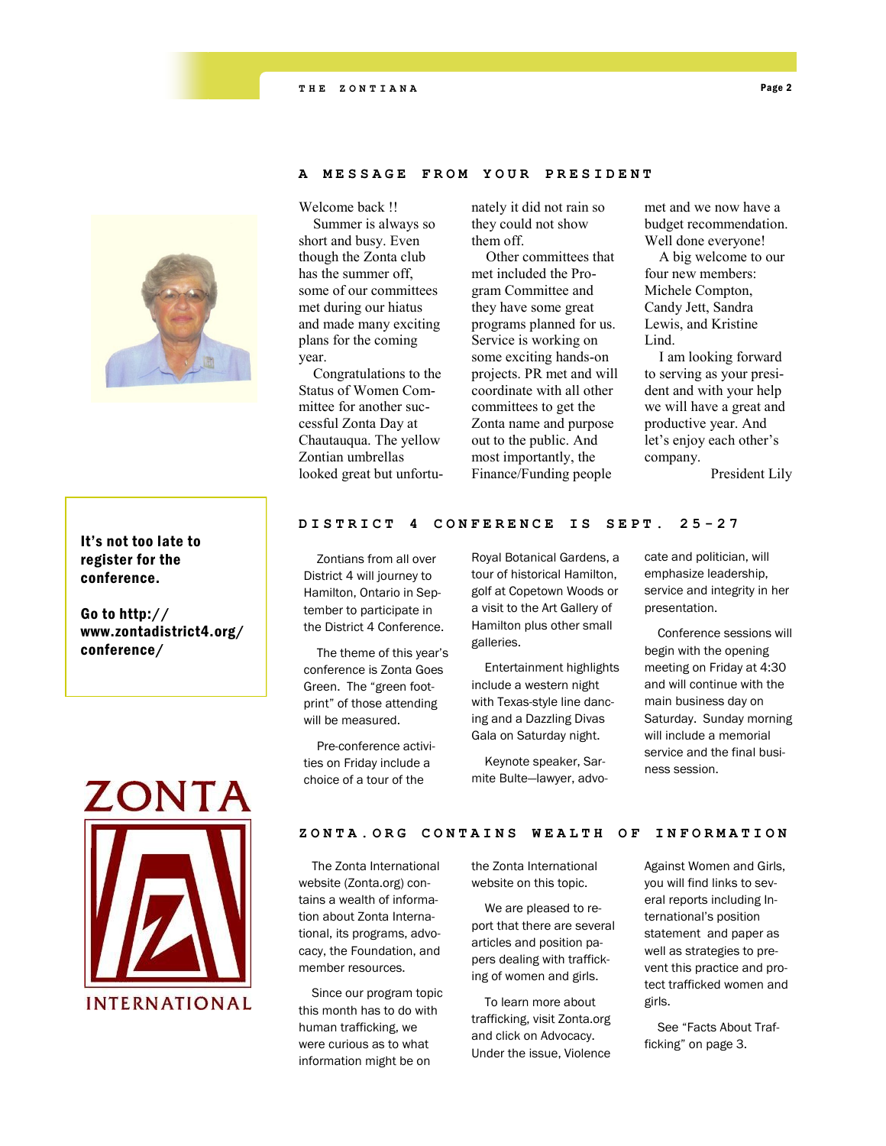

# A MESSAGE FROM YOUR PRESIDENT

Welcome back !!

 Summer is always so short and busy. Even though the Zonta club has the summer off, some of our committees met during our hiatus and made many exciting plans for the coming year.

 Congratulations to the Status of Women Committee for another successful Zonta Day at Chautauqua. The yellow Zontian umbrellas looked great but unfortunately it did not rain so they could not show them off.

 Other committees that met included the Program Committee and they have some great programs planned for us. Service is working on some exciting hands-on projects. PR met and will coordinate with all other committees to get the Zonta name and purpose out to the public. And most importantly, the Finance/Funding people

met and we now have a budget recommendation. Well done everyone!

 A big welcome to our four new members: Michele Compton, Candy Jett, Sandra Lewis, and Kristine Lind.

 I am looking forward to serving as your president and with your help we will have a great and productive year. And let's enjoy each other's company.

President Lily

# It's not too late to register for the conference.

Go to http:// www.zontadistrict4.org/ conference/

# **DISTRICT 4 CONFERENC E I S S E P T . 2 5 - 2 7**

 Zontians from all over District 4 will journey to Hamilton, Ontario in September to participate in the District 4 Conference.

 The theme of this year's conference is Zonta Goes Green. The "green footprint" of those attending will be measured.

 Pre-conference activities on Friday include a choice of a tour of the

Royal Botanical Gardens, a tour of historical Hamilton, golf at Copetown Woods or a visit to the Art Gallery of Hamilton plus other small galleries.

 Entertainment highlights include a western night with Texas-style line dancing and a Dazzling Divas Gala on Saturday night.

 Keynote speaker, Sarmite Bulte—lawyer, advocate and politician, will emphasize leadership, service and integrity in her presentation.

 Conference sessions will begin with the opening meeting on Friday at 4:30 and will continue with the main business day on Saturday. Sunday morning will include a memorial service and the final business session.



#### **ZONTA.ORG CONTAINS W E A L T H O F I N F O R M A T I O N**

 The Zonta International website (Zonta.org) contains a wealth of information about Zonta International, its programs, advocacy, the Foundation, and member resources.

 Since our program topic this month has to do with human trafficking, we were curious as to what information might be on

the Zonta International website on this topic.

 We are pleased to report that there are several articles and position papers dealing with trafficking of women and girls.

 To learn more about trafficking, visit Zonta.org and click on Advocacy. Under the issue, Violence Against Women and Girls, you will find links to several reports including International's position statement and paper as well as strategies to prevent this practice and protect trafficked women and girls.

 See "Facts About Trafficking" on page 3.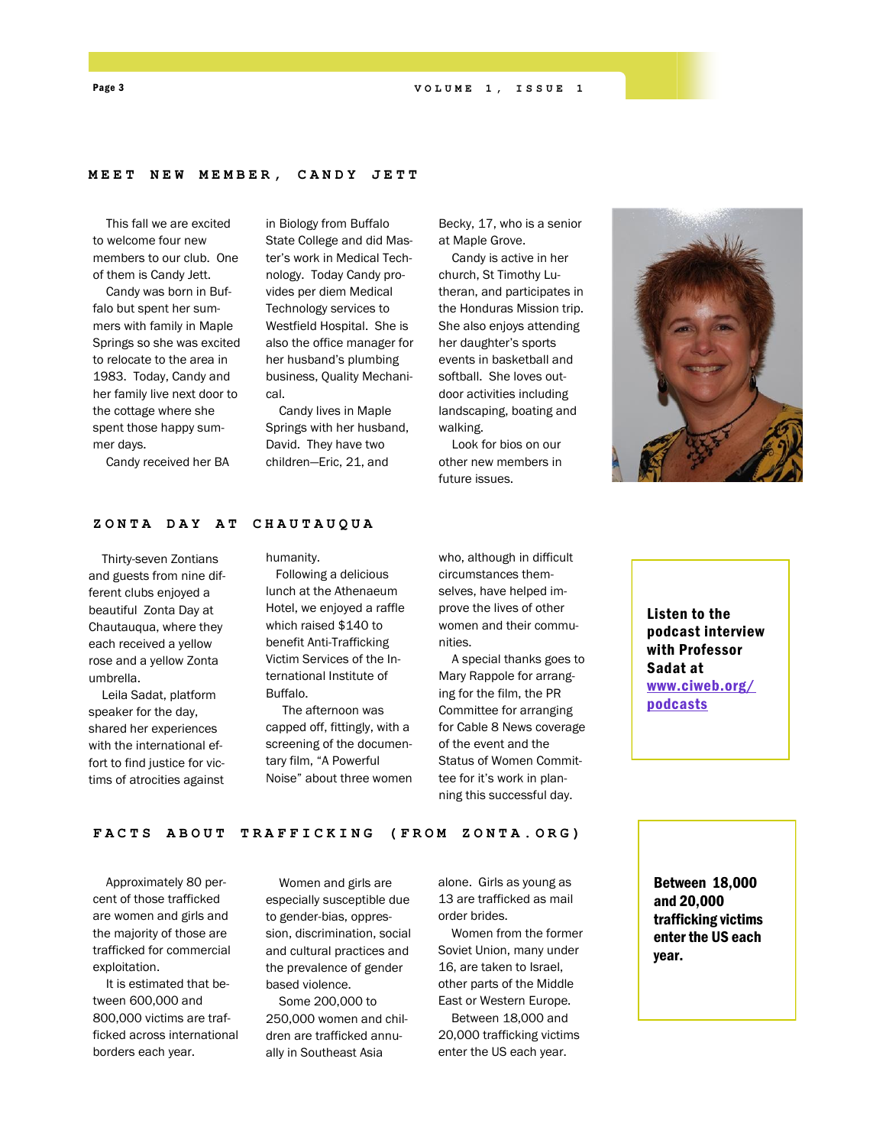#### **MEET NEW MEMBER, CANDY JETT**

 This fall we are excited to welcome four new members to our club. One of them is Candy Jett.

 Candy was born in Buffalo but spent her summers with family in Maple Springs so she was excited to relocate to the area in 1983. Today, Candy and her family live next door to the cottage where she spent those happy summer days.

Candy received her BA

in Biology from Buffalo State College and did Master's work in Medical Technology. Today Candy provides per diem Medical Technology services to Westfield Hospital. She is also the office manager for her husband's plumbing business, Quality Mechanical.

 Candy lives in Maple Springs with her husband, David. They have two children—Eric, 21, and

Becky, 17, who is a senior at Maple Grove.

 Candy is active in her church, St Timothy Lutheran, and participates in the Honduras Mission trip. She also enjoys attending her daughter's sports events in basketball and softball. She loves outdoor activities including landscaping, boating and walking.

 Look for bios on our other new members in future issues.



#### **ZONTA DAY AT CHAUTAU QUA**

 Thirty-seven Zontians and guests from nine different clubs enjoyed a beautiful Zonta Day at Chautauqua, where they each received a yellow rose and a yellow Zonta umbrella.

 Leila Sadat, platform speaker for the day, shared her experiences with the international effort to find justice for victims of atrocities against humanity.

 Following a delicious lunch at the Athenaeum Hotel, we enjoyed a raffle which raised \$140 to benefit Anti-Trafficking Victim Services of the International Institute of Buffalo.

 The afternoon was capped off, fittingly, with a screening of the documentary film, "A Powerful Noise" about three women

who, although in difficult circumstances themselves, have helped improve the lives of other women and their communities.

 A special thanks goes to Mary Rappole for arranging for the film, the PR Committee for arranging for Cable 8 News coverage of the event and the Status of Women Committee for it's work in planning this successful day.

Listen to the podcast interview with Professor Sadat at [www.ciweb.org/](http://www.ciweb.org/podcasts) [podcasts](http://www.ciweb.org/podcasts)

# FACTS ABOUT TRAFFICKING (FROM ZONTA.ORG)

 Approximately 80 percent of those trafficked are women and girls and the majority of those are trafficked for commercial exploitation.

 It is estimated that between 600,000 and 800,000 victims are trafficked across international borders each year.

 Women and girls are especially susceptible due to gender-bias, oppression, discrimination, social and cultural practices and the prevalence of gender based violence.

 Some 200,000 to 250,000 women and children are trafficked annually in Southeast Asia

alone. Girls as young as 13 are trafficked as mail order brides.

 Women from the former Soviet Union, many under 16, are taken to Israel, other parts of the Middle East or Western Europe.

 Between 18,000 and 20,000 trafficking victims enter the US each year.

Between 18,000 and 20,000 trafficking victims enter the US each year.